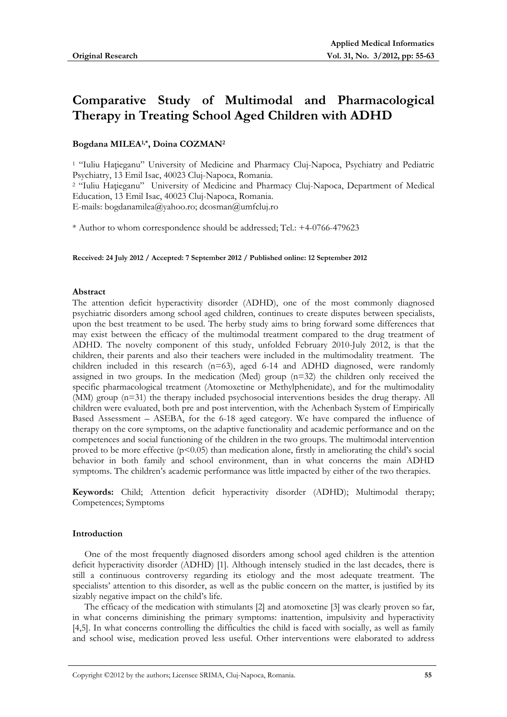# **Comparative Study of Multimodal and Pharmacological Therapy in Treating School Aged Children with ADHD**

# **Bogdana MILEA1,\*, Doina COZMAN2**

<sup>1</sup> "Iuliu Hațieganu" University of Medicine and Pharmacy Cluj-Napoca, Psychiatry and Pediatric Psychiatry, 13 Emil Isac, 40023 Cluj-Napoca, Romania. <sup>2</sup> "Iuliu Hațieganu" University of Medicine and Pharmacy Cluj-Napoca, Department of Medical Education, 13 Emil Isac, 40023 Cluj-Napoca, Romania. E-mails: bogdanamilea@yahoo.ro; dcosman@umfcluj.ro

\* Author to whom correspondence should be addressed; Tel.: +4-0766-479623

**Received: 24 July 2012 / Accepted: 7 September 2012 / Published online: 12 September 2012** 

## **Abstract**

The attention deficit hyperactivity disorder (ADHD), one of the most commonly diagnosed psychiatric disorders among school aged children, continues to create disputes between specialists, upon the best treatment to be used. The herby study aims to bring forward some differences that may exist between the efficacy of the multimodal treatment compared to the drug treatment of ADHD. The novelty component of this study, unfolded February 2010-July 2012, is that the children, their parents and also their teachers were included in the multimodality treatment. The children included in this research (n=63), aged 6-14 and ADHD diagnosed, were randomly assigned in two groups. In the medication (Med) group (n=32) the children only received the specific pharmacological treatment (Atomoxetine or Methylphenidate), and for the multimodality (MM) group (n=31) the therapy included psychosocial interventions besides the drug therapy. All children were evaluated, both pre and post intervention, with the Achenbach System of Empirically Based Assessment – ASEBA, for the 6-18 aged category. We have compared the influence of therapy on the core symptoms, on the adaptive functionality and academic performance and on the competences and social functioning of the children in the two groups. The multimodal intervention proved to be more effective  $(p<0.05)$  than medication alone, firstly in ameliorating the child's social behavior in both family and school environment, than in what concerns the main ADHD symptoms. The children's academic performance was little impacted by either of the two therapies.

**Keywords:** Child; Attention deficit hyperactivity disorder (ADHD); Multimodal therapy; Competences; Symptoms

## **Introduction**

One of the most frequently diagnosed disorders among school aged children is the attention deficit hyperactivity disorder (ADHD) [1]. Although intensely studied in the last decades, there is still a continuous controversy regarding its etiology and the most adequate treatment. The specialists' attention to this disorder, as well as the public concern on the matter, is justified by its sizably negative impact on the child's life.

The efficacy of the medication with stimulants [2] and atomoxetine [3] was clearly proven so far, in what concerns diminishing the primary symptoms: inattention, impulsivity and hyperactivity [4,5]. In what concerns controlling the difficulties the child is faced with socially, as well as family and school wise, medication proved less useful. Other interventions were elaborated to address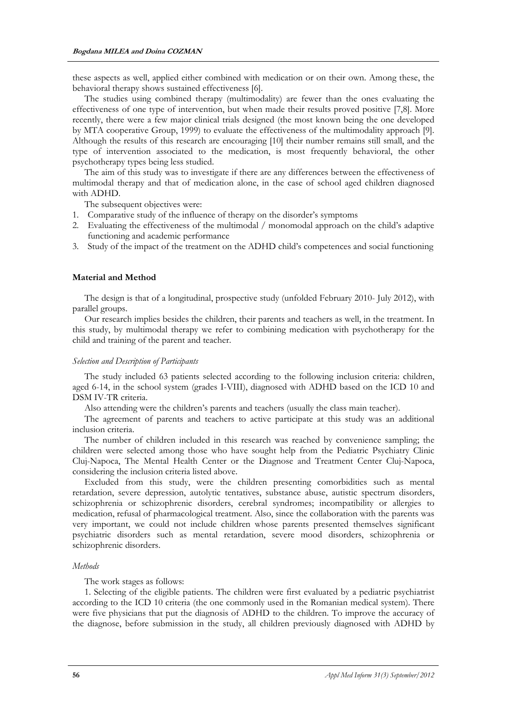these aspects as well, applied either combined with medication or on their own. Among these, the behavioral therapy shows sustained effectiveness [6].

The studies using combined therapy (multimodality) are fewer than the ones evaluating the effectiveness of one type of intervention, but when made their results proved positive [7,8]. More recently, there were a few major clinical trials designed (the most known being the one developed by MTA cooperative Group, 1999) to evaluate the effectiveness of the multimodality approach [9]. Although the results of this research are encouraging [10] their number remains still small, and the type of intervention associated to the medication, is most frequently behavioral, the other psychotherapy types being less studied.

The aim of this study was to investigate if there are any differences between the effectiveness of multimodal therapy and that of medication alone, in the case of school aged children diagnosed with ADHD.

The subsequent objectives were:

- 1. Comparative study of the influence of therapy on the disorder's symptoms
- 2. Evaluating the effectiveness of the multimodal / monomodal approach on the child's adaptive functioning and academic performance
- 3. Study of the impact of the treatment on the ADHD child's competences and social functioning

## **Material and Method**

The design is that of a longitudinal, prospective study (unfolded February 2010- July 2012), with parallel groups.

Our research implies besides the children, their parents and teachers as well, in the treatment. In this study, by multimodal therapy we refer to combining medication with psychotherapy for the child and training of the parent and teacher.

## *Selection and Description of Participants*

The study included 63 patients selected according to the following inclusion criteria: children, aged 6-14, in the school system (grades I-VIII), diagnosed with ADHD based on the ICD 10 and DSM IV-TR criteria.

Also attending were the children's parents and teachers (usually the class main teacher).

The agreement of parents and teachers to active participate at this study was an additional inclusion criteria.

The number of children included in this research was reached by convenience sampling; the children were selected among those who have sought help from the Pediatric Psychiatry Clinic Cluj-Napoca, The Mental Health Center or the Diagnose and Treatment Center Cluj-Napoca, considering the inclusion criteria listed above.

Excluded from this study, were the children presenting comorbidities such as mental retardation, severe depression, autolytic tentatives, substance abuse, autistic spectrum disorders, schizophrenia or schizophrenic disorders, cerebral syndromes; incompatibility or allergies to medication, refusal of pharmacological treatment. Also, since the collaboration with the parents was very important, we could not include children whose parents presented themselves significant psychiatric disorders such as mental retardation, severe mood disorders, schizophrenia or schizophrenic disorders.

## *Methods*

The work stages as follows:

1. Selecting of the eligible patients. The children were first evaluated by a pediatric psychiatrist according to the ICD 10 criteria (the one commonly used in the Romanian medical system). There were five physicians that put the diagnosis of ADHD to the children. To improve the accuracy of the diagnose, before submission in the study, all children previously diagnosed with ADHD by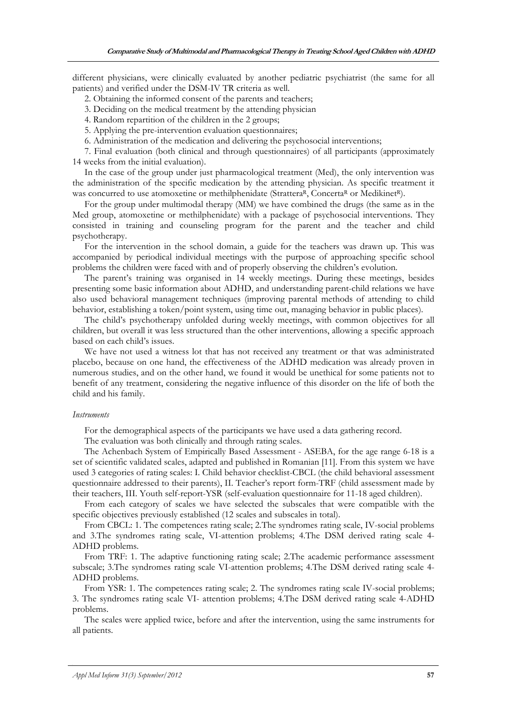different physicians, were clinically evaluated by another pediatric psychiatrist (the same for all patients) and verified under the DSM-IV TR criteria as well.

2. Obtaining the informed consent of the parents and teachers;

3. Deciding on the medical treatment by the attending physician

4. Random repartition of the children in the 2 groups;

5. Applying the pre-intervention evaluation questionnaires;

6. Administration of the medication and delivering the psychosocial interventions;

7. Final evaluation (both clinical and through questionnaires) of all participants (approximately 14 weeks from the initial evaluation).

In the case of the group under just pharmacological treatment (Med), the only intervention was the administration of the specific medication by the attending physician. As specific treatment it was concurred to use atomoxetine or methilphenidate (StratteraR, ConcertaR or MedikinetR).

For the group under multimodal therapy (MM) we have combined the drugs (the same as in the Med group, atomoxetine or methilphenidate) with a package of psychosocial interventions. They consisted in training and counseling program for the parent and the teacher and child psychotherapy.

For the intervention in the school domain, a guide for the teachers was drawn up. This was accompanied by periodical individual meetings with the purpose of approaching specific school problems the children were faced with and of properly observing the children's evolution.

The parent's training was organised in 14 weekly meetings. During these meetings, besides presenting some basic information about ADHD, and understanding parent-child relations we have also used behavioral management techniques (improving parental methods of attending to child behavior, establishing a token/point system, using time out, managing behavior in public places).

The child's psychotherapy unfolded during weekly meetings, with common objectives for all children, but overall it was less structured than the other interventions, allowing a specific approach based on each child's issues.

We have not used a witness lot that has not received any treatment or that was administrated placebo, because on one hand, the effectiveness of the ADHD medication was already proven in numerous studies, and on the other hand, we found it would be unethical for some patients not to benefit of any treatment, considering the negative influence of this disorder on the life of both the child and his family.

## *Instruments*

For the demographical aspects of the participants we have used a data gathering record.

The evaluation was both clinically and through rating scales.

The Achenbach System of Empirically Based Assessment - ASEBA, for the age range 6-18 is a set of scientific validated scales, adapted and published in Romanian [11]. From this system we have used 3 categories of rating scales: I. Child behavior checklist-CBCL (the child behavioral assessment questionnaire addressed to their parents), II. Teacher's report form-TRF (child assessment made by their teachers, III. Youth self-report-YSR (self-evaluation questionnaire for 11-18 aged children).

From each category of scales we have selected the subscales that were compatible with the specific objectives previously established (12 scales and subscales in total).

From CBCL: 1. The competences rating scale; 2.The syndromes rating scale, IV-social problems and 3.The syndromes rating scale, VI-attention problems; 4.The DSM derived rating scale 4- ADHD problems.

From TRF: 1. The adaptive functioning rating scale; 2.The academic performance assessment subscale; 3.The syndromes rating scale VI-attention problems; 4.The DSM derived rating scale 4- ADHD problems.

From YSR: 1. The competences rating scale; 2. The syndromes rating scale IV-social problems; 3. The syndromes rating scale VI- attention problems; 4.The DSM derived rating scale 4-ADHD problems.

The scales were applied twice, before and after the intervention, using the same instruments for all patients.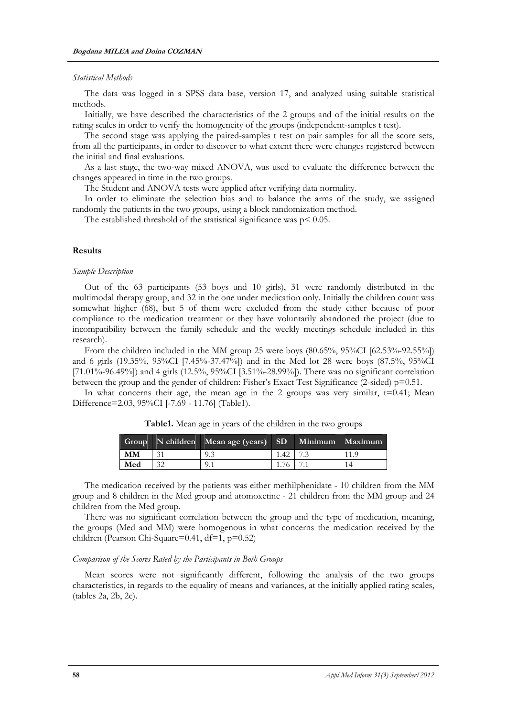#### *Statistical Methods*

The data was logged in a SPSS data base, version 17, and analyzed using suitable statistical methods.

Initially, we have described the characteristics of the 2 groups and of the initial results on the rating scales in order to verify the homogeneity of the groups (independent-samples t test).

The second stage was applying the paired-samples t test on pair samples for all the score sets, from all the participants, in order to discover to what extent there were changes registered between the initial and final evaluations.

As a last stage, the two-way mixed ANOVA, was used to evaluate the difference between the changes appeared in time in the two groups.

The Student and ANOVA tests were applied after verifying data normality.

In order to eliminate the selection bias and to balance the arms of the study, we assigned randomly the patients in the two groups, using a block randomization method.

The established threshold of the statistical significance was  $p < 0.05$ .

#### **Results**

#### *Sample Description*

Out of the 63 participants (53 boys and 10 girls), 31 were randomly distributed in the multimodal therapy group, and 32 in the one under medication only. Initially the children count was somewhat higher (68), but 5 of them were excluded from the study either because of poor compliance to the medication treatment or they have voluntarily abandoned the project (due to incompatibility between the family schedule and the weekly meetings schedule included in this research).

From the children included in the MM group 25 were boys (80.65%, 95%CI [62.53%-92.55%]) and 6 girls (19.35%, 95%CI [7.45%-37.47%]) and in the Med lot 28 were boys (87.5%, 95%CI [71.01%-96.49%]) and 4 girls (12.5%, 95%CI [3.51%-28.99%]). There was no significant correlation between the group and the gender of children: Fisher's Exact Test Significance (2-sided) p=0.51.

In what concerns their age, the mean age in the 2 groups was very similar,  $t=0.41$ ; Mean Difference=2.03, 95%CI [-7.69 - 11.76] (Table1).

|     |    | Group N children Mean age (years) SD Minimum Maximum |      |  |
|-----|----|------------------------------------------------------|------|--|
| MМ  |    | 9.3                                                  | 1.42 |  |
| Med | 32 | 0                                                    |      |  |

**Table1.** Mean age in years of the children in the two groups

The medication received by the patients was either methilphenidate - 10 children from the MM group and 8 children in the Med group and atomoxetine - 21 children from the MM group and 24 children from the Med group.

There was no significant correlation between the group and the type of medication, meaning, the groups (Med and MM) were homogenous in what concerns the medication received by the children (Pearson Chi-Square=0.41, df=1, p=0.52)

#### *Comparison of the Scores Rated by the Participants in Both Groups*

Mean scores were not significantly different, following the analysis of the two groups characteristics, in regards to the equality of means and variances, at the initially applied rating scales, (tables 2a, 2b, 2c).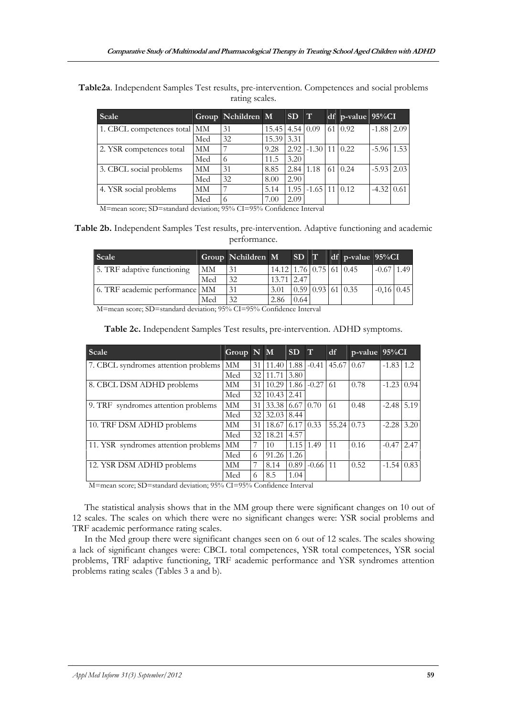| Scale                        |     | Group Nchildren M |                       | SD T |                              | df p-value $95\%CI$ |                   |  |
|------------------------------|-----|-------------------|-----------------------|------|------------------------------|---------------------|-------------------|--|
| 1. CBCL competences total MM |     | 31                | $15.45$   4.54   0.09 |      |                              | $61 \mid 0.92$      | $-1.88$ 2.09      |  |
|                              | Med | 32                | 15.39 3.31            |      |                              |                     |                   |  |
| 2. YSR competences total     | MM  |                   | 9.28                  |      | $2.92$   $-1.30$   11   0.22 |                     | $-5.96$ 1.53      |  |
|                              | Med |                   | 11.5                  | 3.20 |                              |                     |                   |  |
| 3. CBCL social problems      | MМ  | 31                | 8.85                  |      | $2.84 \mid 1.18$             | 6110.24             | $-5.93$ 2.03      |  |
|                              | Med | 32                | 8.00                  | 2.90 |                              |                     |                   |  |
| 4. YSR social problems       | MМ  |                   | 5.14                  | 1.95 | $-1.65$ 11 0.12              |                     | $-4.32 \mid 0.61$ |  |
|                              | Med |                   | 7.00                  | 2.09 |                              |                     |                   |  |

**Table2a**. Independent Samples Test results, pre-intervention. Competences and social problems rating scales.

M=mean score; SD=standard deviation; 95% CI=95% Confidence Interval

**Table 2b.** Independent Samples Test results, pre-intervention. Adaptive functioning and academic performance.

| Scale                          |     | Group Nchildren M |                                   | SD T |                                    | $df$ p-value 95%CI |                |  |
|--------------------------------|-----|-------------------|-----------------------------------|------|------------------------------------|--------------------|----------------|--|
| 5. TRF adaptive functioning    | MМ  | 31                | $14.12$   1.76   0.75   61   0.45 |      |                                    |                    | $-0.67$   1.49 |  |
|                                | Med | 32                | 13.71 2.47                        |      |                                    |                    |                |  |
| 6. TRF academic performance MM |     | 31                | 3.01                              |      | $0.59 \mid 0.93 \mid 61 \mid 0.35$ |                    | $-0.16$ 0.45   |  |
|                                | Med | 32                | 2.86                              | 0.64 |                                    |                    |                |  |

M=mean score; SD=standard deviation; 95% CI=95% Confidence Interval

| Scale                                | Group $N$ $M$ |    |                         | SD   | $\mathbf{T}$                | df         | $p$ -value $95\%$ CI |              |      |
|--------------------------------------|---------------|----|-------------------------|------|-----------------------------|------------|----------------------|--------------|------|
| 7. CBCL syndromes attention problems | MM            | 31 | 11.40                   | 1.88 | $-0.41$                     | 45.67 0.67 |                      | $-1.83$ 1.2  |      |
|                                      | Med           | 32 | 11.71                   | 3.80 |                             |            |                      |              |      |
| 8. CBCL DSM ADHD problems            | MМ            | 31 |                         |      | $10.29$   1.86   -0.27   61 |            | 0.78                 | $-1.23$ 0.94 |      |
|                                      | Med           | 32 | $10.43$   2.41          |      |                             |            |                      |              |      |
| 9. TRF syndromes attention problems  | <b>MM</b>     | 31 | 33.38 6.67 0.70         |      |                             | 61         | 0.48                 | $-2.48$ 5.19 |      |
|                                      | Med           | 32 | $32.03 \text{   } 8.44$ |      |                             |            |                      |              |      |
| 10. TRF DSM ADHD problems            | <b>MM</b>     | 31 | 18.67                   |      | $6.17 \mid 0.33$            | 55.24 0.73 |                      | $-2.28$      | 3.20 |
|                                      | Med           | 32 | 18.21                   | 4.57 |                             |            |                      |              |      |
| 11. YSR syndromes attention problems | <b>MM</b>     | 7  | 10                      | 1.15 | 1.49                        | 11         | 0.16                 | $-0.47$      | 2.47 |
|                                      | Med           | 6  | 91.26                   | 1.26 |                             |            |                      |              |      |
| 12. YSR DSM ADHD problems            | MМ            | 7  | 8.14                    | 0.89 | $-0.66$   11                |            | 0.52                 | $-1.54$ 0.83 |      |
|                                      | Med           | 6  | 8.5                     | 1.04 |                             |            |                      |              |      |

**Table 2c.** Independent Samples Test results, pre-intervention. ADHD symptoms.

M=mean score; SD=standard deviation; 95% CI=95% Confidence Interval

The statistical analysis shows that in the MM group there were significant changes on 10 out of 12 scales. The scales on which there were no significant changes were: YSR social problems and TRF academic performance rating scales.

In the Med group there were significant changes seen on 6 out of 12 scales. The scales showing a lack of significant changes were: CBCL total competences, YSR total competences, YSR social problems, TRF adaptive functioning, TRF academic performance and YSR syndromes attention problems rating scales (Tables 3 a and b).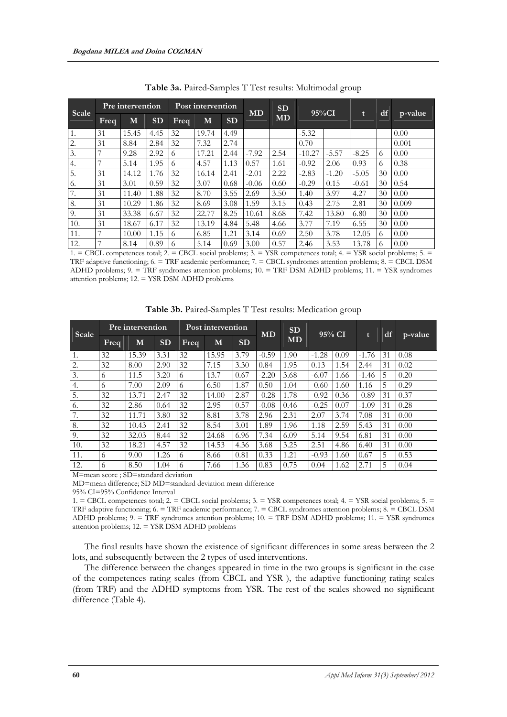| Scale |                | Pre intervention |           |             | Post intervention |           | <b>MD</b> | <b>SD</b> | $95\%CI$ |         |              |    |         |
|-------|----------------|------------------|-----------|-------------|-------------------|-----------|-----------|-----------|----------|---------|--------------|----|---------|
|       | <b>Freq</b>    | M                | <b>SD</b> | <b>Freq</b> | M                 | <b>SD</b> |           | <b>MD</b> |          |         | $\mathbf{t}$ |    | p-value |
| 1.    | 31             | 15.45            | 4.45      | 32          | 19.74             | 4.49      |           |           | $-5.32$  |         |              |    | 0.00    |
| 2.    | 31             | 8.84             | 2.84      | 32          | 7.32              | 2.74      |           |           | 0.70     |         |              |    | 0.001   |
| 3.    | 7              | 9.28             | 2.92      | 6           | 17.21             | 2.44      | $-7.92$   | 2.54      | $-10.27$ | $-5.57$ | $-8.25$      | 6  | 0.00    |
| 4.    | $\overline{7}$ | 5.14             | 1.95      | 6           | 4.57              | 1.13      | 0.57      | 1.61      | $-0.92$  | 2.06    | 0.93         | 6  | 0.38    |
| 5.    | 31             | 14.12            | 1.76      | 32          | 16.14             | 2.41      | $-2.01$   | 2.22      | $-2.83$  | $-1.20$ | $-5.05$      | 30 | 0.00    |
| 6.    | 31             | 3.01             | 0.59      | 32          | 3.07              | 0.68      | $-0.06$   | 0.60      | $-0.29$  | 0.15    | $-0.61$      | 30 | 0.54    |
| 7.    | 31             | 11.40            | 1.88      | 32          | 8.70              | 3.55      | 2.69      | 3.50      | 1.40     | 3.97    | 4.27         | 30 | 0.00    |
| 8.    | 31             | 10.29            | 1.86      | 32          | 8.69              | 3.08      | 1.59      | 3.15      | 0.43     | 2.75    | 2.81         | 30 | 0.009   |
| 9.    | 31             | 33.38            | 6.67      | 32          | 22.77             | 8.25      | 10.61     | 8.68      | 7.42     | 13.80   | 6.80         | 30 | 0.00    |
| 10.   | 31             | 18.67            | 6.17      | 32          | 13.19             | 4.84      | 5.48      | 4.66      | 3.77     | 7.19    | 6.55         | 30 | 0.00    |
| 11.   | 7              | 10.00            | 1.15      | 6           | 6.85              | 1.21      | 3.14      | 0.69      | 2.50     | 3.78    | 12.05        | 6  | 0.00    |
| 12.   | 7              | 8.14             | 0.89      | 6           | 5.14              | 0.69      | 3.00      | 0.57      | 2.46     | 3.53    | 13.78        | 6  | 0.00    |

**Table 3a.** Paired-Samples T Test results: Multimodal group

1. = CBCL competences total; 2. = CBCL social problems; 3. = YSR competences total; 4. = YSR social problems; 5. = TRF adaptive functioning; 6. = TRF academic performance; 7. = CBCL syndromes attention problems; 8. = CBCL DSM ADHD problems; 9. = TRF syndromes attention problems; 10. = TRF DSM ADHD problems; 11. = YSR syndromes attention problems; 12. = YSR DSM ADHD problems

| Scale           |      | Pre intervention |           |      | Post intervention |           | <b>MD</b> | <b>SD</b> |         |           | $\mathbf{t}$ | df | p-value |
|-----------------|------|------------------|-----------|------|-------------------|-----------|-----------|-----------|---------|-----------|--------------|----|---------|
|                 | Freq | М                | <b>SD</b> | Freq | М                 | <b>SD</b> |           | <b>MD</b> |         | $95\%$ CI |              |    |         |
| 1.              | 32   | 15.39            | 3.31      | 32   | 15.95             | 3.79      | $-0.59$   | 1.90      | $-1.28$ | 0.09      | $-1.76$      | 31 | 0.08    |
| 2.              | 32   | 8.00             | 2.90      | 32   | 7.15              | 3.30      | 0.84      | 1.95      | 0.13    | 1.54      | 2.44         | 31 | 0.02    |
| 3.              | 6    | 11.5             | 3.20      | 6    | 13.7              | 0.67      | $-2.20$   | 3.68      | $-6.07$ | 1.66      | $-1.46$      | 5  | 0.20    |
| 4.              | 6    | 7.00             | 2.09      | 6    | 6.50              | 1.87      | 0.50      | 1.04      | $-0.60$ | 1.60      | 1.16         | 5  | 0.29    |
| 5.              | 32   | 13.71            | 2.47      | 32   | 14.00             | 2.87      | $-0.28$   | 1.78      | $-0.92$ | 0.36      | $-0.89$      | 31 | 0.37    |
| 6.              | 32   | 2.86             | 0.64      | 32   | 2.95              | 0.57      | $-0.08$   | 0.46      | $-0.25$ | 0.07      | $-1.09$      | 31 | 0.28    |
| 7<br>$\prime$ . | 32   | 11.71            | 3.80      | 32   | 8.81              | 3.78      | 2.96      | 2.31      | 2.07    | 3.74      | 7.08         | 31 | 0.00    |
| 8.              | 32   | 10.43            | 2.41      | 32   | 8.54              | 3.01      | 1.89      | 1.96      | 1.18    | 2.59      | 5.43         | 31 | 0.00    |
| 9.              | 32   | 32.03            | 8.44      | 32   | 24.68             | 6.96      | 7.34      | 6.09      | 5.14    | 9.54      | 6.81         | 31 | 0.00    |
| 10.             | 32   | 18.21            | 4.57      | 32   | 14.53             | 4.36      | 3.68      | 3.25      | 2.51    | 4.86      | 6.40         | 31 | 0.00    |
| 11.             | 6    | 9.00             | 1.26      | 6    | 8.66              | 0.81      | 0.33      | 1.21      | $-0.93$ | 1.60      | 0.67         | 5  | 0.53    |
| 12.             | 6    | 8.50             | 1.04      | 6    | 7.66              | 1.36      | 0.83      | 0.75      | 0.04    | 1.62      | 2.71         | 5  | 0.04    |

**Table 3b.** Paired-Samples T Test results: Medication group

M=mean score ; SD=standard deviation

MD=mean difference; SD MD=standard deviation mean difference

95% CI=95% Confidence Interval

1. = CBCL competences total; 2. = CBCL social problems; 3. = YSR competences total; 4. = YSR social problems; 5. = TRF adaptive functioning; 6. = TRF academic performance; 7. = CBCL syndromes attention problems; 8. = CBCL DSM ADHD problems; 9. = TRF syndromes attention problems; 10. = TRF DSM ADHD problems; 11. = YSR syndromes attention problems; 12. = YSR DSM ADHD problems

The final results have shown the existence of significant differences in some areas between the 2 lots, and subsequently between the 2 types of used interventions.

The difference between the changes appeared in time in the two groups is significant in the case of the competences rating scales (from CBCL and YSR ), the adaptive functioning rating scales (from TRF) and the ADHD symptoms from YSR. The rest of the scales showed no significant difference (Table 4).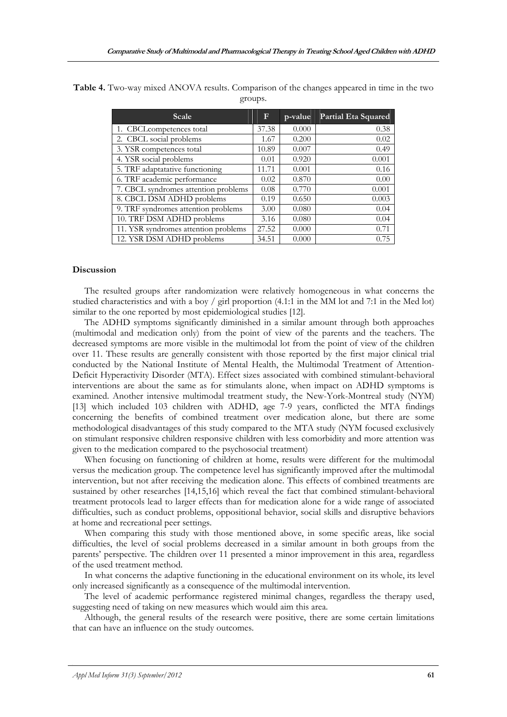| Table 4. Two-way mixed ANOVA results. Comparison of the changes appeared in time in the two |         |  |  |
|---------------------------------------------------------------------------------------------|---------|--|--|
|                                                                                             | groups. |  |  |

| Scale                                | F     | p-value | Partial Eta Squared |
|--------------------------------------|-------|---------|---------------------|
| 1. CBCLcompetences total             | 37.38 | 0.000   | 0.38                |
| 2. CBCL social problems              | 1.67  | 0.200   | 0.02                |
| 3. YSR competences total             | 10.89 | 0.007   | 0.49                |
| 4. YSR social problems               | 0.01  | 0.920   | 0.001               |
| 5. TRF adaptatative functioning      | 11.71 | 0.001   | 0.16                |
| 6. TRF academic performance          | 0.02  | 0.870   | 0.00                |
| 7. CBCL syndromes attention problems | 0.08  | 0.770   | 0.001               |
| 8. CBCL DSM ADHD problems            | 0.19  | 0.650   | 0.003               |
| 9. TRF syndromes attention problems  | 3.00  | 0.080   | 0.04                |
| 10. TRF DSM ADHD problems            | 3.16  | 0.080   | 0.04                |
| 11. YSR syndromes attention problems | 27.52 | 0.000   | 0.71                |
| 12. YSR DSM ADHD problems            | 34.51 | 0.000   | 0.75                |

#### **Discussion**

The resulted groups after randomization were relatively homogeneous in what concerns the studied characteristics and with a boy / girl proportion (4.1:1 in the MM lot and 7:1 in the Med lot) similar to the one reported by most epidemiological studies [12].

The ADHD symptoms significantly diminished in a similar amount through both approaches (multimodal and medication only) from the point of view of the parents and the teachers. The decreased symptoms are more visible in the multimodal lot from the point of view of the children over 11. These results are generally consistent with those reported by the first major clinical trial conducted by the National Institute of Mental Health, the Multimodal Treatment of Attention-Deficit Hyperactivity Disorder (MTA). Effect sizes associated with combined stimulant-behavioral interventions are about the same as for stimulants alone, when impact on ADHD symptoms is examined. Another intensive multimodal treatment study, the New-York-Montreal study (NYM) [13] which included 103 children with ADHD, age 7-9 years, conflicted the MTA findings concerning the benefits of combined treatment over medication alone, but there are some methodological disadvantages of this study compared to the MTA study (NYM focused exclusively on stimulant responsive children responsive children with less comorbidity and more attention was given to the medication compared to the psychosocial treatment)

When focusing on functioning of children at home, results were different for the multimodal versus the medication group. The competence level has significantly improved after the multimodal intervention, but not after receiving the medication alone. This effects of combined treatments are sustained by other researches [14,15,16] which reveal the fact that combined stimulant-behavioral treatment protocols lead to larger effects than for medication alone for a wide range of associated difficulties, such as conduct problems, oppositional behavior, social skills and disruptive behaviors at home and recreational peer settings.

When comparing this study with those mentioned above, in some specific areas, like social difficulties, the level of social problems decreased in a similar amount in both groups from the parents' perspective. The children over 11 presented a minor improvement in this area, regardless of the used treatment method.

In what concerns the adaptive functioning in the educational environment on its whole, its level only increased significantly as a consequence of the multimodal intervention.

The level of academic performance registered minimal changes, regardless the therapy used, suggesting need of taking on new measures which would aim this area.

Although, the general results of the research were positive, there are some certain limitations that can have an influence on the study outcomes.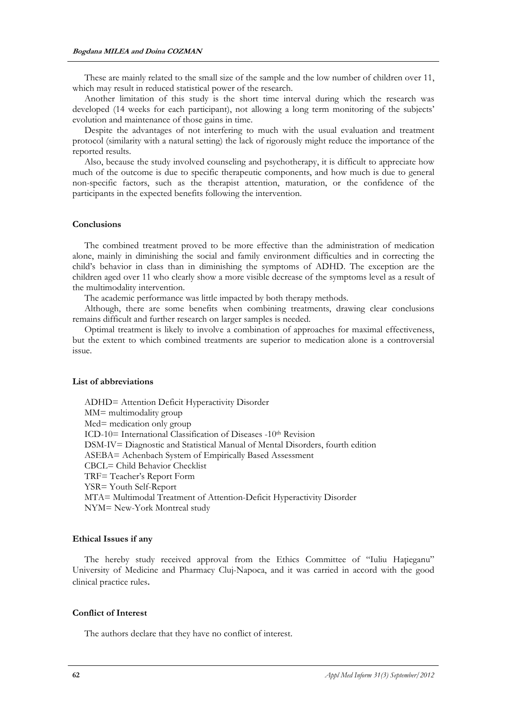These are mainly related to the small size of the sample and the low number of children over 11, which may result in reduced statistical power of the research.

Another limitation of this study is the short time interval during which the research was developed (14 weeks for each participant), not allowing a long term monitoring of the subjects' evolution and maintenance of those gains in time.

Despite the advantages of not interfering to much with the usual evaluation and treatment protocol (similarity with a natural setting) the lack of rigorously might reduce the importance of the reported results.

Also, because the study involved counseling and psychotherapy, it is difficult to appreciate how much of the outcome is due to specific therapeutic components, and how much is due to general non-specific factors, such as the therapist attention, maturation, or the confidence of the participants in the expected benefits following the intervention.

#### **Conclusions**

The combined treatment proved to be more effective than the administration of medication alone, mainly in diminishing the social and family environment difficulties and in correcting the child's behavior in class than in diminishing the symptoms of ADHD. The exception are the children aged over 11 who clearly show a more visible decrease of the symptoms level as a result of the multimodality intervention.

The academic performance was little impacted by both therapy methods.

Although, there are some benefits when combining treatments, drawing clear conclusions remains difficult and further research on larger samples is needed.

Optimal treatment is likely to involve a combination of approaches for maximal effectiveness, but the extent to which combined treatments are superior to medication alone is a controversial issue.

#### **List of abbreviations**

ADHD= Attention Deficit Hyperactivity Disorder MM= multimodality group Med= medication only group ICD-10= International Classification of Diseases -10th Revision DSM-IV= Diagnostic and Statistical Manual of Mental Disorders, fourth edition ASEBA= Achenbach System of Empirically Based Assessment CBCL= Child Behavior Checklist TRF= Teacher's Report Form YSR= Youth Self-Report MTA= Multimodal Treatment of Attention-Deficit Hyperactivity Disorder NYM= New-York Montreal study

#### **Ethical Issues if any**

The hereby study received approval from the Ethics Committee of "Iuliu Hațieganu" University of Medicine and Pharmacy Cluj-Napoca, and it was carried in accord with the good clinical practice rules.

## **Conflict of Interest**

The authors declare that they have no conflict of interest.